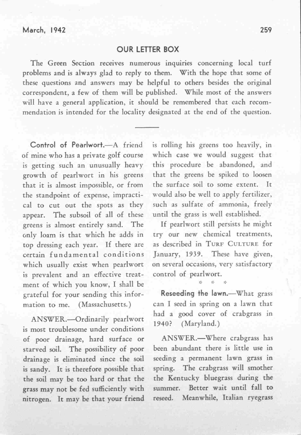## OUR LETTER BOX

The Green Section receives numerous inquiries concerning local turf problems and is always glad to reply to them. With the hope that some of these questions and answers may be helpful to others besides the original correspondent, a few of them will be published. While most of the answers will have a general application, it should be remembered that each recommendation is intended for the locality designated at the end of the question.

Control of Pearlwort.-A friend of mine who has a private golf course is getting such an unusually heavy growth of pearlwort in his greens that it is almost impossible, or from the standpoint of expense, impractical to cut out the spots as they appear. The subsoil of all of these greens is almost entirely sand. The only loam is that which he adds in top dressing each year. If there are certain fundamental conditions which usually exist when pearlwort is prevalent and an effective treatment of which you know, I shall be grateful for your sending this information to me. (Massachusetts.)

ANSWER.-Ordinarily pearlwort is most troublesome under conditions of poor drainage, hard surface or starved soil. The possibility of poor drainage is eliminated since the soil is sandy. It is therefore possible that the soil may be too hard or that the grass may not be fed sufficiently with nitrogen. It may be that your friend is rolling his greens too heavily, in which case we would suggest that this procedure be abandoned, and that the greens be spiked to loosen the surface soil to some extent. It would also be well to apply fertilizer, such as sulfate of ammonia, freely until the grass is well established.

If pearIwort still persists he might try our new chemical treatments, as described in TURF CULTURE for January, 1939. These have given, on several occasions, very satisfactory control of pearIwort.

Reseeding the lawn.-- What grass can I seed in spring on a lawn that had a good cover of crabgrass in 1940? (Maryland.)

ANSWER.-Where crabgrass has been abundant there is little use in seeding a permanent lawn grass in spring. The crabgrass will smother the Kentucky bluegrass during the summer. Better wait until fall to reseed. Meanwhile, Italian ryegrass